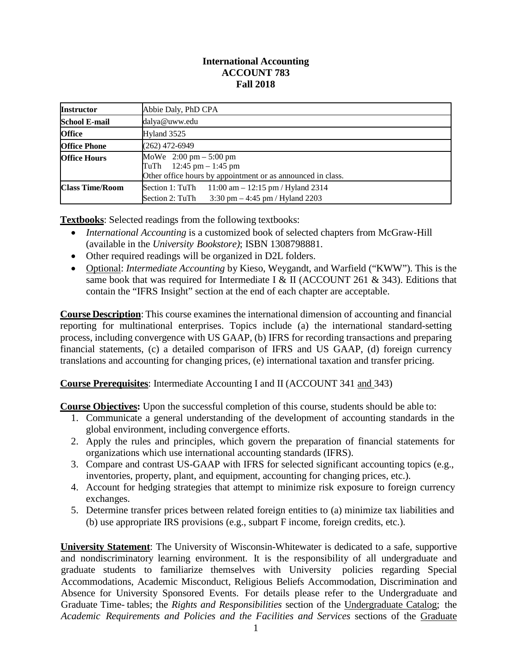## **International Accounting ACCOUNT 783 Fall 2018**

| <b>Instructor</b>      | Abbie Daly, PhD CPA                                                                                                                      |  |  |
|------------------------|------------------------------------------------------------------------------------------------------------------------------------------|--|--|
| <b>School E-mail</b>   | dalya@uww.edu                                                                                                                            |  |  |
| <b>Office</b>          | Hyland 3525                                                                                                                              |  |  |
| <b>Office Phone</b>    | $(262)$ 472-6949                                                                                                                         |  |  |
| <b>Office Hours</b>    | MoWe $2:00 \text{ pm} - 5:00 \text{ pm}$<br>$12:45$ pm $-1:45$ pm<br>TuTh<br>Other office hours by appointment or as announced in class. |  |  |
| <b>Class Time/Room</b> | Section 1: TuTh<br>$11:00$ am $-12:15$ pm / Hyland 2314<br>3:30 pm $-$ 4:45 pm / Hyland 2203<br>Section 2: TuTh                          |  |  |

**Textbooks**: Selected readings from the following textbooks:

- *International Accounting* is a customized book of selected chapters from McGraw-Hill (available in the *University Bookstore)*; ISBN 1308798881.
- Other required readings will be organized in D2L folders.
- Optional: *Intermediate Accounting* by Kieso, Weygandt, and Warfield ("KWW"). This is the same book that was required for Intermediate I & II (ACCOUNT 261 & 343). Editions that contain the "IFRS Insight" section at the end of each chapter are acceptable.

**Course Description**: This course examines the international dimension of accounting and financial reporting for multinational enterprises. Topics include (a) the international standard-setting process, including convergence with US GAAP, (b) IFRS for recording transactions and preparing financial statements, (c) a detailed comparison of IFRS and US GAAP, (d) foreign currency translations and accounting for changing prices, (e) international taxation and transfer pricing.

**Course Prerequisites**: Intermediate Accounting I and II (ACCOUNT 341 and 343)

**Course Objectives:** Upon the successful completion of this course, students should be able to:

- 1. Communicate a general understanding of the development of accounting standards in the global environment, including convergence efforts.
- 2. Apply the rules and principles, which govern the preparation of financial statements for organizations which use international accounting standards (IFRS).
- 3. Compare and contrast US-GAAP with IFRS for selected significant accounting topics (e.g., inventories, property, plant, and equipment, accounting for changing prices, etc.).
- 4. Account for hedging strategies that attempt to minimize risk exposure to foreign currency exchanges.
- 5. Determine transfer prices between related foreign entities to (a) minimize tax liabilities and (b) use appropriate IRS provisions (e.g., subpart F income, foreign credits, etc.).

**University Statement**: The University of Wisconsin-Whitewater is dedicated to a safe, supportive and nondiscriminatory learning environment. It is the responsibility of all undergraduate and graduate students to familiarize themselves with University policies regarding Special Accommodations, Academic Misconduct, Religious Beliefs Accommodation, Discrimination and Absence for University Sponsored Events. For details please refer to the Undergraduate and Graduate Time- tables; the *Rights and Responsibilities* section of the Undergraduate Catalog; the *Academic Requirements and Policies and the Facilities and Services* sections of the Graduate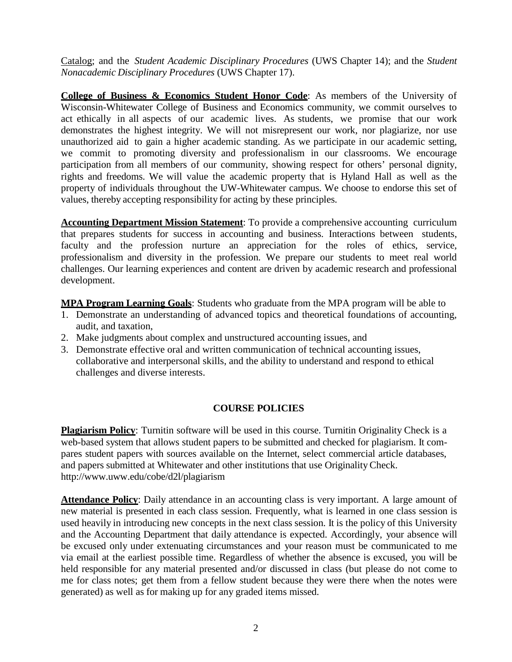Catalog; and the *Student Academic Disciplinary Procedures* (UWS Chapter 14); and the *Student Nonacademic Disciplinary Procedures* (UWS Chapter 17).

**College of Business & Economics Student Honor Code**: As members of the University of Wisconsin-Whitewater College of Business and Economics community, we commit ourselves to act ethically in all aspects of our academic lives. As students, we promise that our work demonstrates the highest integrity. We will not misrepresent our work, nor plagiarize, nor use unauthorized aid to gain a higher academic standing. As we participate in our academic setting, we commit to promoting diversity and professionalism in our classrooms. We encourage participation from all members of our community, showing respect for others' personal dignity, rights and freedoms. We will value the academic property that is Hyland Hall as well as the property of individuals throughout the UW-Whitewater campus. We choose to endorse this set of values, thereby accepting responsibility for acting by these principles.

**Accounting Department Mission Statement**: To provide a comprehensive accounting curriculum that prepares students for success in accounting and business. Interactions between students, faculty and the profession nurture an appreciation for the roles of ethics, service, professionalism and diversity in the profession. We prepare our students to meet real world challenges. Our learning experiences and content are driven by academic research and professional development.

**MPA Program Learning Goals**: Students who graduate from the MPA program will be able to

- 1. Demonstrate an understanding of advanced topics and theoretical foundations of accounting, audit, and taxation,
- 2. Make judgments about complex and unstructured accounting issues, and
- 3. Demonstrate effective oral and written communication of technical accounting issues, collaborative and interpersonal skills, and the ability to understand and respond to ethical challenges and diverse interests.

# **COURSE POLICIES**

**Plagiarism Policy**: Turnitin software will be used in this course. Turnitin Originality Check is a web-based system that allows student papers to be submitted and checked for plagiarism. It compares student papers with sources available on the Internet, select commercial article databases, and papers submitted at Whitewater and other institutions that use Originality Check. <http://www.uww.edu/cobe/d2l/plagiarism>

**Attendance Policy**: Daily attendance in an accounting class is very important. A large amount of new material is presented in each class session. Frequently, what is learned in one class session is used heavily in introducing new concepts in the next class session. It is the policy of this University and the Accounting Department that daily attendance is expected. Accordingly, your absence will be excused only under extenuating circumstances and your reason must be communicated to me via email at the earliest possible time. Regardless of whether the absence is excused, you will be held responsible for any material presented and/or discussed in class (but please do not come to me for class notes; get them from a fellow student because they were there when the notes were generated) as well as for making up for any graded items missed.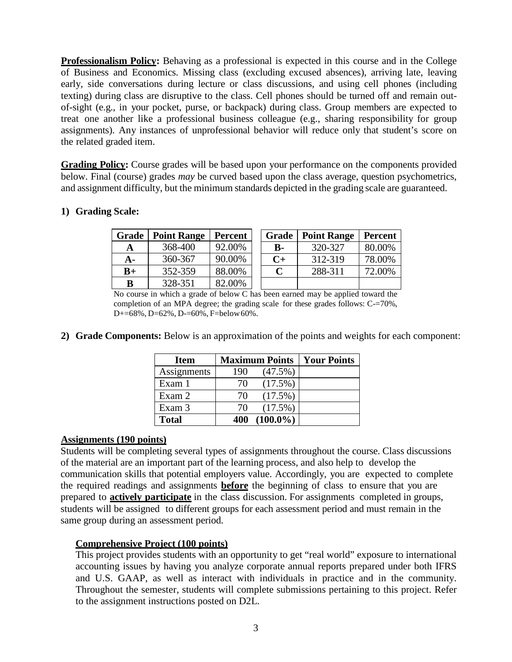**Professionalism Policy:** Behaving as a professional is expected in this course and in the College of Business and Economics. Missing class (excluding excused absences), arriving late, leaving early, side conversations during lecture or class discussions, and using cell phones (including texting) during class are disruptive to the class. Cell phones should be turned off and remain outof-sight (e.g., in your pocket, purse, or backpack) during class. Group members are expected to treat one another like a professional business colleague (e.g., sharing responsibility for group assignments). Any instances of unprofessional behavior will reduce only that student's score on the related graded item.

**Grading Policy:** Course grades will be based upon your performance on the components provided below. Final (course) grades *may* be curved based upon the class average, question psychometrics, and assignment difficulty, but the minimum standards depicted in the grading scale are guaranteed.

## **1) Grading Scale:**

| Grade | <b>Point Range</b> | <b>Percent</b> | Grade     | <b>Point Range</b> | <b>Percent</b> |
|-------|--------------------|----------------|-----------|--------------------|----------------|
| A     | 368-400            | 92.00%         | <b>B-</b> | 320-327            | 80.00%         |
| A-    | 360-367            | 90.00%         | $C+$      | 312-319            | 78.00%         |
| $B+$  | 352-359            | 88.00%         | C         | 288-311            | 72.00%         |
| в     | 328-351            | 82.00%         |           |                    |                |

No course in which a grade of below C has been earned may be applied toward the completion of an MPA degree; the grading scale for these grades follows: C-=70%, D+=68%, D=62%, D-=60%, F=below60%.

**2) Grade Components:** Below is an approximation of the points and weights for each component:

| <b>Item</b>  |     | <b>Maximum Points</b> | <b>Your Points</b> |
|--------------|-----|-----------------------|--------------------|
| Assignments  | 190 | $(47.5\%)$            |                    |
| Exam 1       | 70  | $(17.5\%)$            |                    |
| Exam 2       | 70  | $(17.5\%)$            |                    |
| Exam 3       | 70  | $(17.5\%)$            |                    |
| <b>Total</b> | 400 | $(100.0\%)$           |                    |

#### **Assignments (190 points)**

Students will be completing several types of assignments throughout the course. Class discussions of the material are an important part of the learning process, and also help to develop the communication skills that potential employers value. Accordingly, you are expected to complete the required readings and assignments **before** the beginning of class to ensure that you are prepared to **actively participate** in the class discussion. For assignments completed in groups, students will be assigned to different groups for each assessment period and must remain in the same group during an assessment period.

# **Comprehensive Project (100 points)**

This project provides students with an opportunity to get "real world" exposure to international accounting issues by having you analyze corporate annual reports prepared under both IFRS and U.S. GAAP, as well as interact with individuals in practice and in the community. Throughout the semester, students will complete submissions pertaining to this project. Refer to the assignment instructions posted on D2L.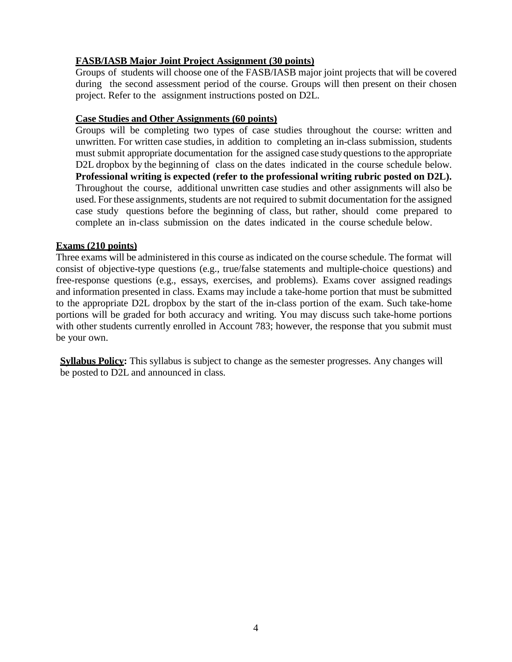### **FASB/IASB Major Joint Project Assignment (30 points)**

Groups of students will choose one of the FASB/IASB major joint projects that will be covered during the second assessment period of the course. Groups will then present on their chosen project. Refer to the assignment instructions posted on D2L.

#### **Case Studies and Other Assignments (60 points)**

Groups will be completing two types of case studies throughout the course: written and unwritten. For written case studies, in addition to completing an in-class submission, students must submit appropriate documentation for the assigned case study questions to the appropriate D2L dropbox by the beginning of class on the dates indicated in the course schedule below. **Professional writing is expected (refer to the professional writing rubric posted on D2L).** Throughout the course, additional unwritten case studies and other assignments will also be used. For these assignments, students are not required to submit documentation for the assigned case study questions before the beginning of class, but rather, should come prepared to complete an in-class submission on the dates indicated in the course schedule below.

## **Exams (210 points)**

Three exams will be administered in this course as indicated on the course schedule. The format will consist of objective-type questions (e.g., true/false statements and multiple-choice questions) and free-response questions (e.g., essays, exercises, and problems). Exams cover assigned readings and information presented in class. Exams may include a take-home portion that must be submitted to the appropriate D2L dropbox by the start of the in-class portion of the exam. Such take-home portions will be graded for both accuracy and writing. You may discuss such take-home portions with other students currently enrolled in Account 783; however, the response that you submit must be your own.

**Syllabus Policy:** This syllabus is subject to change as the semester progresses. Any changes will be posted to D2L and announced in class.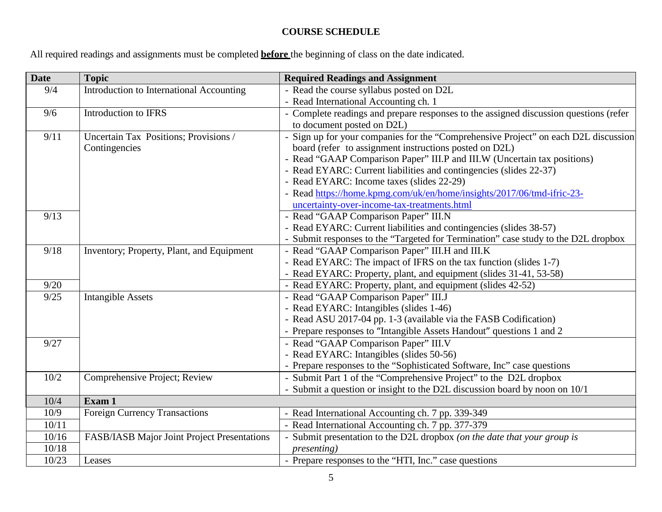# **COURSE SCHEDULE**

All required readings and assignments must be completed **before** the beginning of class on the date indicated.

| <b>Date</b> | <b>Topic</b>                                | <b>Required Readings and Assignment</b>                                               |
|-------------|---------------------------------------------|---------------------------------------------------------------------------------------|
| 9/4         | Introduction to International Accounting    | - Read the course syllabus posted on D2L                                              |
|             |                                             | - Read International Accounting ch. 1                                                 |
| 9/6         | Introduction to IFRS                        | - Complete readings and prepare responses to the assigned discussion questions (refer |
|             |                                             | to document posted on D2L)                                                            |
| 9/11        | Uncertain Tax Positions; Provisions /       | Sign up for your companies for the "Comprehensive Project" on each D2L discussion     |
|             | Contingencies                               | board (refer to assignment instructions posted on D2L)                                |
|             |                                             | - Read "GAAP Comparison Paper" III.P and III.W (Uncertain tax positions)              |
|             |                                             | - Read EYARC: Current liabilities and contingencies (slides 22-37)                    |
|             |                                             | - Read EYARC: Income taxes (slides 22-29)                                             |
|             |                                             | - Read https://home.kpmg.com/uk/en/home/insights/2017/06/tmd-ifric-23-                |
|             |                                             | uncertainty-over-income-tax-treatments.html                                           |
| 9/13        |                                             | - Read "GAAP Comparison Paper" III.N                                                  |
|             |                                             | - Read EYARC: Current liabilities and contingencies (slides 38-57)                    |
|             |                                             | Submit responses to the "Targeted for Termination" case study to the D2L dropbox      |
| 9/18        | Inventory; Property, Plant, and Equipment   | - Read "GAAP Comparison Paper" III.H and III.K                                        |
|             |                                             | - Read EYARC: The impact of IFRS on the tax function (slides 1-7)                     |
|             |                                             | - Read EYARC: Property, plant, and equipment (slides 31-41, 53-58)                    |
| 9/20        |                                             | - Read EYARC: Property, plant, and equipment (slides 42-52)                           |
| 9/25        | <b>Intangible Assets</b>                    | - Read "GAAP Comparison Paper" III.J                                                  |
|             |                                             | - Read EYARC: Intangibles (slides 1-46)                                               |
|             |                                             | - Read ASU 2017-04 pp. 1-3 (available via the FASB Codification)                      |
|             |                                             | - Prepare responses to "Intangible Assets Handout" questions 1 and 2                  |
| 9/27        |                                             | - Read "GAAP Comparison Paper" III.V                                                  |
|             |                                             | - Read EYARC: Intangibles (slides 50-56)                                              |
|             |                                             | - Prepare responses to the "Sophisticated Software, Inc" case questions               |
| $10/2$      | Comprehensive Project; Review               | - Submit Part 1 of the "Comprehensive Project" to the D2L dropbox                     |
|             |                                             | - Submit a question or insight to the D2L discussion board by noon on 10/1            |
| 10/4        | Exam 1                                      |                                                                                       |
| 10/9        | <b>Foreign Currency Transactions</b>        | - Read International Accounting ch. 7 pp. 339-349                                     |
| 10/11       |                                             | - Read International Accounting ch. 7 pp. 377-379                                     |
| 10/16       | FASB/IASB Major Joint Project Presentations | Submit presentation to the D2L dropbox (on the date that your group is                |
| 10/18       |                                             | <i>presenting</i> )                                                                   |
| 10/23       | Leases                                      | - Prepare responses to the "HTI, Inc." case questions                                 |